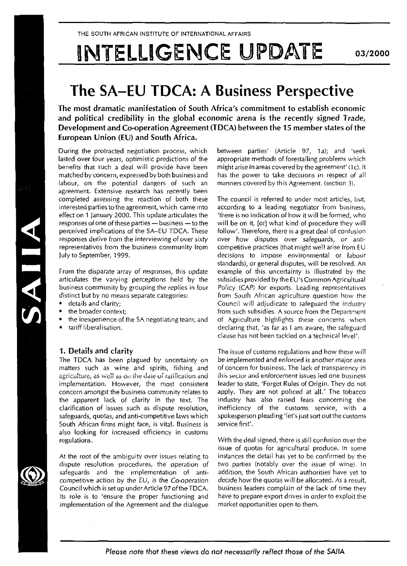# INTELLIGENCE UPDATE

# The SA-EU TDCA: A Business Perspective

The most dramatic manifestation of South Africa's commitment to establish economic and political credibility in the global economic arena is the recently signed Trade, Development and Co-operation Agreement (TDCA) between the 15 member states of the European Union (EU) and South Africa.

During the protracted negotiation process, which lasted over four years, optimistic predictions of the benefits that such a deal will provide have been matched by concern, expressed by both business and labour, on the potential dangers of such an agreement. Extensive research has recently been completed assessing the reaction of both these interested parties to the agreement, which came into effect on 1 January 2000. This update articulates the responses of one of these parties — business — to the perceived implications of the SA-EU TDCA. These responses derive from the interviewing of over sixty representatives from the business community from July to September, 1999.

From the disparate array of responses, this update articulates the varying perceptions held by the business community by grouping the replies in four distinct but by no means separate categories:

- details and clarity:
- the broader context;
- the inexperience of the SA negotiating team; and
- tariff liberalisation.

# 1. Details and clarity

The TDCA has been plagued by uncertainty on matters such as wine and spirits, fishing and agriculture, as well as on the date of ratification and implementation. However, the most consistent concern amongst the business community relates to the apparent lack of clarity in the text. The clarification of issues such as dispute resolution, safeguards, quotas, and anti-competitive laws which South African firms might face, is vital. Business is also looking for increased efficiency in customs regulations.

At the root of the ambiguity over issues relating to dispute resolution procedures, the operation of safeguards and the implementation of anticompetitive action by the EU, is the Co-operation Council which is set up under Article 97 of the TDCA. Its role is to 'ensure the proper functioning and implementation of the Agreement and the dialogue

between parties' (Article 97, 1a); and 'seek appropriate methods of forestalling problems which might arise in areas covered by the agreement' (1c). It has the power to take decisions in respect of all manners covered by this Agreement, (section 3).

The council is referred to under most articles, but, according to a leading negotiator from business, 'there is no indication of how it will be formed, who will be on it, [or] what kind of procedure they will follow'. Therefore, there is a great deal of confusion over how disputes over safeguards, or anticompetitive practices (that might well arise from EU decisions to impose environmental or labour standards), or general disputes, will be resolved. An example of this uncertainty is illustrated by the subsidies provided by the EU's Common Agricultural Policy (CAP) for exports. Leading representatives from South African agriculture question how the Council will adjudicate to safeguard the industry from such subsidies. A source from the Department of Agriculture highlights these concerns when declaring that, 'as far as I am aware, the safeguard clause has not been tackled on a technical level'.

The issue of customs regulations and how these will be implemented and enforced is another major area of concern for business. The lack of transparency in this sector and enforcement issues ied one business leader to state, 'Forget Rules of Origin. They do not apply. They are not policed at all.' The tobacco industry has also raised fears concerning the inefficiency of the customs service, with a spokesperson pleading 'let's just sort out the customs service first'.

With the deal signed, there is still confusion over the issue of quotas for agricultural produce. In some instances the detail has yet to be confirmed by the two parties (notably over the issue of wine). In addition, the South African authorities have yet to decide how the quotas will be allocated. As a result, business leaders complain of the lack of time they have to prepare export drives in order to exploit the market opportunities open to them.



SAIIA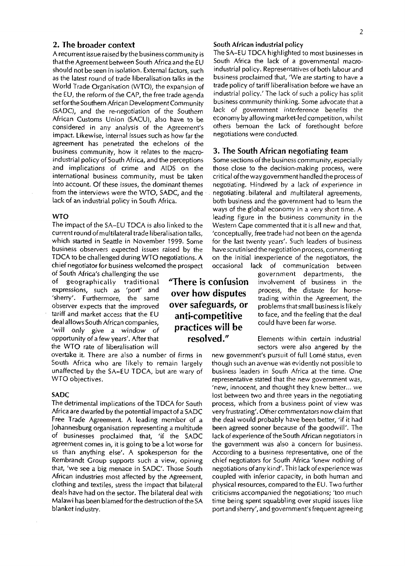# 2. The broader context

A recurrent issue raised by the business community is that the Agreement between South Africa and the EU should not be seen in isolation. External factors, such as the latest round of trade liberalisation talks in the World Trade Organisation (WTO), the expansion of the EU, the reform of the CAP, the free trade agenda set for the Southern African Development Community (SADC), and the re-negotiation of the Southern African Customs Union (SACU), also have to be considered in any analysis of the Agreement's impact. Likewise, internal issues such as how far the agreement has penetrated the echelons of the business community, how it relates to the macroindustrial policy of South Africa, and the perceptions and implications of crime and AIDS on the international business community, must be taken into account. Of these issues, the dominant themes from the interviews were the WTO, SADC, and the lack of an industrial policy in South Africa.

#### **WTO**

The impact of the SA-EU TDCA is also linked to the current round of multilateral trade liberalisation talks, which started in Seattle in November 1999. Some business observers expected issues raised by the TDCA to be challenged during WTO negotiations. A chief negotiator for business welcomed the prospect

> 'There is confusion over how disputes over safeguards, or anti-competitive practices will be resolved."

of South Africa's challenging the use of geographically traditional expressions, such as 'port' and 'sherry'. Furthermore, the same observer expects that the improved tariff and market access that the EU deal allows South African companies, 'will only give a window of opportunity of a few years'. After that the WTO rate of liberalisation will

overtake it. There are also a number of firms in South Africa who are likely to remain largely unaffected by the SA-EU TDCA, but are wary of WTO objectives.

# SADC

The detrimental implications of the TDCA for South Africa are dwarfed by the potential impact of a SADC Free Trade Agreement, A leading member of a Johannesburg organisation representing a multitude of businesses proclaimed that, 'if the SADC agreement comes in, it is going to be a lot worse for us than anything else'. A spokesperson for the Rembrandt Group supports such a view, opining that, 'we see a big menace in SADC. Those South African industries most affected by the Agreement, clothing and textiles, stress the impact that bilateral deals have had on the sector. The bilateral deal with Malawi has been blamed forthe destruction of the SA blanket industry.

#### **South African industrial policy**

The SA-EU TDCA highlighted to most businesses in South Africa the lack of a governmental macroindustrial policy. Representatives of both labour and business proclaimed that, 'We are starting to have a trade policy of tariff liberalisation before we have an industrial policy.' The lack of such a policy has split business community thinking. Some advocate that a lack of government interference benefits the economy by allowing market-led competition, whilst others bemoan the lack of forethought before negotiations were conducted.

### 3. The South African negotiating team

Some sections of the business community, especially those close to the decision-making process, were critical of the way government handled the process of negotiating. Hindered by a lack of experience in negotiating,bilateral and multilateral agreements, both business and the government had to learn the ways of the global economy in a very short time. A leading figure in the business community in the Western Cape commented that it is all new and that, 'conceptually, free trade had not been on the agenda for the last twenty years'. Such leaders of business have scrutinised the negotiation process, commenting on the initial inexperience of the negotiators, the occasional lack of communication between

government departments, the involvement of business in the process, the distaste for horsetrading within the Agreement, the problems that small business is likely to face, and the feeling that the deal could have been far worse.

Elements within certain industrial sectors were also angered by the

new government's pursuit of full Lome status, even though such an avenue was evidently not possible to business leaders in South Africa at the time. One representative stated that the new government was, 'new, innocent, and thought they knew better... we lost between two and three years in the negotiating process, which from a business point of view was very frustrating'. Other commentators now claim that the deal would probably have been better, 'if it had been agreed sooner because of the goodwill'. The lack of experience of the South African negotiators in the government was also a concern for business. According to a business representative, one of the chief negotiators for South Africa 'knew nothing of negotiations of any kind'. This tack of experience was coupled with inferior capacity, in both human and physical resources, compared to the EU. Two further criticisms accompanied the negotiations; 'too much time being spent squabbling over stupid issues like port and sherry', and government's frequent agreeing